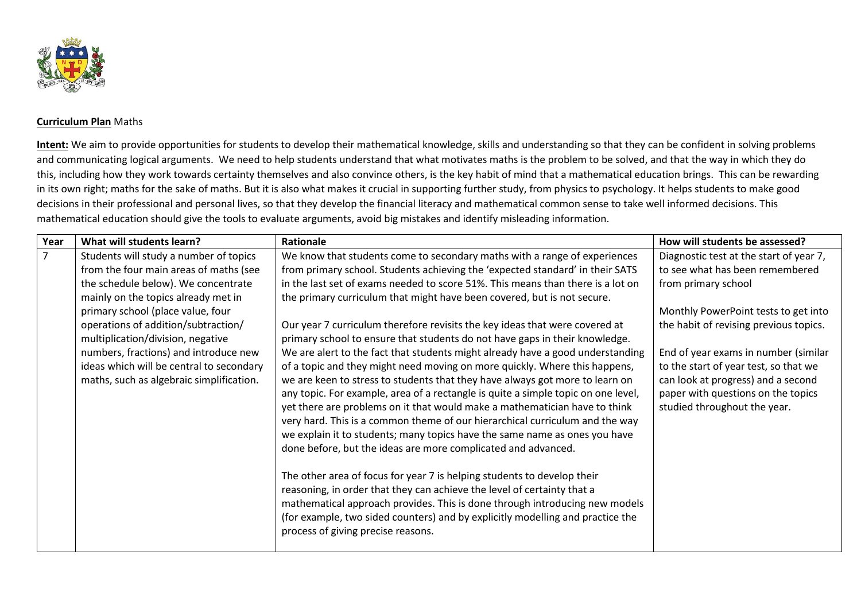

## **Curriculum Plan** Maths

**Intent:** We aim to provide opportunities for students to develop their mathematical knowledge, skills and understanding so that they can be confident in solving problems and communicating logical arguments. We need to help students understand that what motivates maths is the problem to be solved, and that the way in which they do this, including how they work towards certainty themselves and also convince others, is the key habit of mind that a mathematical education brings. This can be rewarding in its own right; maths for the sake of maths. But it is also what makes it crucial in supporting further study, from physics to psychology. It helps students to make good decisions in their professional and personal lives, so that they develop the financial literacy and mathematical common sense to take well informed decisions. This mathematical education should give the tools to evaluate arguments, avoid big mistakes and identify misleading information.

| Year | What will students learn?                                                                                                                                                                                                                                                                                                                                                                                        | <b>Rationale</b>                                                                                                                                                                                                                                                                                                                                                                                                                                                                                                                                                                                                                                                                                                                                                                                                                                                                                                                                                                                                                                                                                                                                                                                                                                                                                                                                                                                                                                                                                      | How will students be assessed?                                                                                                                                                                                                                                                                                                                                                   |
|------|------------------------------------------------------------------------------------------------------------------------------------------------------------------------------------------------------------------------------------------------------------------------------------------------------------------------------------------------------------------------------------------------------------------|-------------------------------------------------------------------------------------------------------------------------------------------------------------------------------------------------------------------------------------------------------------------------------------------------------------------------------------------------------------------------------------------------------------------------------------------------------------------------------------------------------------------------------------------------------------------------------------------------------------------------------------------------------------------------------------------------------------------------------------------------------------------------------------------------------------------------------------------------------------------------------------------------------------------------------------------------------------------------------------------------------------------------------------------------------------------------------------------------------------------------------------------------------------------------------------------------------------------------------------------------------------------------------------------------------------------------------------------------------------------------------------------------------------------------------------------------------------------------------------------------------|----------------------------------------------------------------------------------------------------------------------------------------------------------------------------------------------------------------------------------------------------------------------------------------------------------------------------------------------------------------------------------|
|      | Students will study a number of topics<br>from the four main areas of maths (see<br>the schedule below). We concentrate<br>mainly on the topics already met in<br>primary school (place value, four<br>operations of addition/subtraction/<br>multiplication/division, negative<br>numbers, fractions) and introduce new<br>ideas which will be central to secondary<br>maths, such as algebraic simplification. | We know that students come to secondary maths with a range of experiences<br>from primary school. Students achieving the 'expected standard' in their SATS<br>in the last set of exams needed to score 51%. This means than there is a lot on<br>the primary curriculum that might have been covered, but is not secure.<br>Our year 7 curriculum therefore revisits the key ideas that were covered at<br>primary school to ensure that students do not have gaps in their knowledge.<br>We are alert to the fact that students might already have a good understanding<br>of a topic and they might need moving on more quickly. Where this happens,<br>we are keen to stress to students that they have always got more to learn on<br>any topic. For example, area of a rectangle is quite a simple topic on one level,<br>yet there are problems on it that would make a mathematician have to think<br>very hard. This is a common theme of our hierarchical curriculum and the way<br>we explain it to students; many topics have the same name as ones you have<br>done before, but the ideas are more complicated and advanced.<br>The other area of focus for year 7 is helping students to develop their<br>reasoning, in order that they can achieve the level of certainty that a<br>mathematical approach provides. This is done through introducing new models<br>(for example, two sided counters) and by explicitly modelling and practice the<br>process of giving precise reasons. | Diagnostic test at the start of year 7,<br>to see what has been remembered<br>from primary school<br>Monthly PowerPoint tests to get into<br>the habit of revising previous topics.<br>End of year exams in number (similar<br>to the start of year test, so that we<br>can look at progress) and a second<br>paper with questions on the topics<br>studied throughout the year. |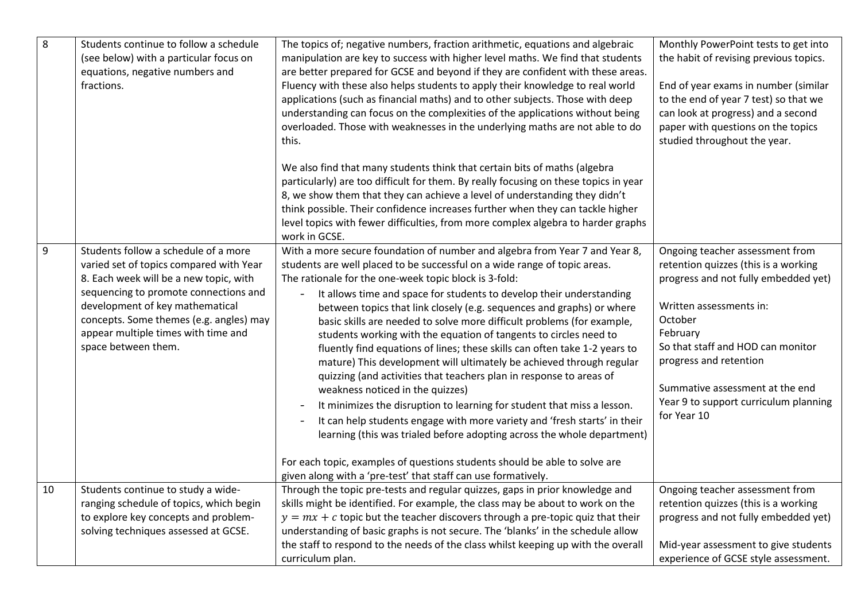| 8     | Students continue to follow a schedule<br>(see below) with a particular focus on<br>equations, negative numbers and<br>fractions.                                                                                                                                                                              | The topics of; negative numbers, fraction arithmetic, equations and algebraic<br>manipulation are key to success with higher level maths. We find that students<br>are better prepared for GCSE and beyond if they are confident with these areas.<br>Fluency with these also helps students to apply their knowledge to real world<br>applications (such as financial maths) and to other subjects. Those with deep<br>understanding can focus on the complexities of the applications without being<br>overloaded. Those with weaknesses in the underlying maths are not able to do<br>this.                                                                                                                                                                                                                                                                                                                                                                                                                                                                                                                                                                                                                                                                   | Monthly PowerPoint tests to get into<br>the habit of revising previous topics.<br>End of year exams in number (similar<br>to the end of year 7 test) so that we<br>can look at progress) and a second<br>paper with questions on the topics<br>studied throughout the year.                                                 |
|-------|----------------------------------------------------------------------------------------------------------------------------------------------------------------------------------------------------------------------------------------------------------------------------------------------------------------|------------------------------------------------------------------------------------------------------------------------------------------------------------------------------------------------------------------------------------------------------------------------------------------------------------------------------------------------------------------------------------------------------------------------------------------------------------------------------------------------------------------------------------------------------------------------------------------------------------------------------------------------------------------------------------------------------------------------------------------------------------------------------------------------------------------------------------------------------------------------------------------------------------------------------------------------------------------------------------------------------------------------------------------------------------------------------------------------------------------------------------------------------------------------------------------------------------------------------------------------------------------|-----------------------------------------------------------------------------------------------------------------------------------------------------------------------------------------------------------------------------------------------------------------------------------------------------------------------------|
|       |                                                                                                                                                                                                                                                                                                                | We also find that many students think that certain bits of maths (algebra<br>particularly) are too difficult for them. By really focusing on these topics in year<br>8, we show them that they can achieve a level of understanding they didn't<br>think possible. Their confidence increases further when they can tackle higher<br>level topics with fewer difficulties, from more complex algebra to harder graphs<br>work in GCSE.                                                                                                                                                                                                                                                                                                                                                                                                                                                                                                                                                                                                                                                                                                                                                                                                                           |                                                                                                                                                                                                                                                                                                                             |
| $9\,$ | Students follow a schedule of a more<br>varied set of topics compared with Year<br>8. Each week will be a new topic, with<br>sequencing to promote connections and<br>development of key mathematical<br>concepts. Some themes (e.g. angles) may<br>appear multiple times with time and<br>space between them. | With a more secure foundation of number and algebra from Year 7 and Year 8,<br>students are well placed to be successful on a wide range of topic areas.<br>The rationale for the one-week topic block is 3-fold:<br>It allows time and space for students to develop their understanding<br>$\qquad \qquad \blacksquare$<br>between topics that link closely (e.g. sequences and graphs) or where<br>basic skills are needed to solve more difficult problems (for example,<br>students working with the equation of tangents to circles need to<br>fluently find equations of lines; these skills can often take 1-2 years to<br>mature) This development will ultimately be achieved through regular<br>quizzing (and activities that teachers plan in response to areas of<br>weakness noticed in the quizzes)<br>It minimizes the disruption to learning for student that miss a lesson.<br>$\qquad \qquad \blacksquare$<br>It can help students engage with more variety and 'fresh starts' in their<br>$\overline{\phantom{a}}$<br>learning (this was trialed before adopting across the whole department)<br>For each topic, examples of questions students should be able to solve are<br>given along with a 'pre-test' that staff can use formatively. | Ongoing teacher assessment from<br>retention quizzes (this is a working<br>progress and not fully embedded yet)<br>Written assessments in:<br>October<br>February<br>So that staff and HOD can monitor<br>progress and retention<br>Summative assessment at the end<br>Year 9 to support curriculum planning<br>for Year 10 |
| 10    | Students continue to study a wide-<br>ranging schedule of topics, which begin<br>to explore key concepts and problem-<br>solving techniques assessed at GCSE.                                                                                                                                                  | Through the topic pre-tests and regular quizzes, gaps in prior knowledge and<br>skills might be identified. For example, the class may be about to work on the<br>$y = mx + c$ topic but the teacher discovers through a pre-topic quiz that their<br>understanding of basic graphs is not secure. The 'blanks' in the schedule allow<br>the staff to respond to the needs of the class whilst keeping up with the overall<br>curriculum plan.                                                                                                                                                                                                                                                                                                                                                                                                                                                                                                                                                                                                                                                                                                                                                                                                                   | Ongoing teacher assessment from<br>retention quizzes (this is a working<br>progress and not fully embedded yet)<br>Mid-year assessment to give students<br>experience of GCSE style assessment.                                                                                                                             |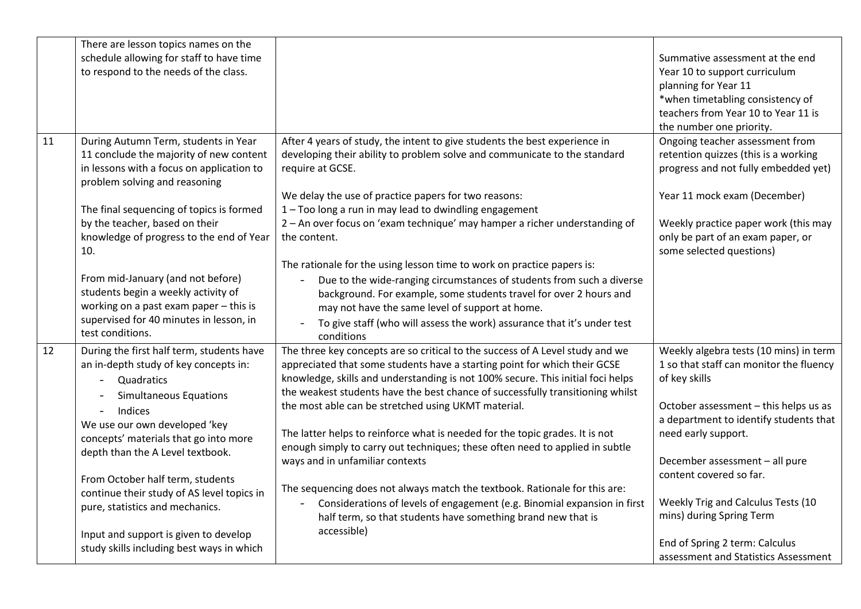|    | There are lesson topics names on the                                       |                                                                                 |                                         |
|----|----------------------------------------------------------------------------|---------------------------------------------------------------------------------|-----------------------------------------|
|    | schedule allowing for staff to have time                                   |                                                                                 | Summative assessment at the end         |
|    | to respond to the needs of the class.                                      |                                                                                 | Year 10 to support curriculum           |
|    |                                                                            |                                                                                 | planning for Year 11                    |
|    |                                                                            |                                                                                 | *when timetabling consistency of        |
|    |                                                                            |                                                                                 | teachers from Year 10 to Year 11 is     |
|    |                                                                            |                                                                                 | the number one priority.                |
| 11 | During Autumn Term, students in Year                                       | After 4 years of study, the intent to give students the best experience in      | Ongoing teacher assessment from         |
|    | 11 conclude the majority of new content                                    | developing their ability to problem solve and communicate to the standard       | retention quizzes (this is a working    |
|    | in lessons with a focus on application to<br>problem solving and reasoning | require at GCSE.                                                                | progress and not fully embedded yet)    |
|    |                                                                            | We delay the use of practice papers for two reasons:                            | Year 11 mock exam (December)            |
|    | The final sequencing of topics is formed                                   | 1 - Too long a run in may lead to dwindling engagement                          |                                         |
|    | by the teacher, based on their                                             | 2 - An over focus on 'exam technique' may hamper a richer understanding of      | Weekly practice paper work (this may    |
|    | knowledge of progress to the end of Year                                   | the content.                                                                    | only be part of an exam paper, or       |
|    | 10.                                                                        |                                                                                 | some selected questions)                |
|    |                                                                            | The rationale for the using lesson time to work on practice papers is:          |                                         |
|    | From mid-January (and not before)                                          | Due to the wide-ranging circumstances of students from such a diverse           |                                         |
|    | students begin a weekly activity of                                        | background. For example, some students travel for over 2 hours and              |                                         |
|    | working on a past exam paper - this is                                     | may not have the same level of support at home.                                 |                                         |
|    | supervised for 40 minutes in lesson, in                                    | To give staff (who will assess the work) assurance that it's under test         |                                         |
|    | test conditions.                                                           | conditions                                                                      |                                         |
| 12 | During the first half term, students have                                  | The three key concepts are so critical to the success of A Level study and we   | Weekly algebra tests (10 mins) in term  |
|    | an in-depth study of key concepts in:                                      | appreciated that some students have a starting point for which their GCSE       | 1 so that staff can monitor the fluency |
|    | Quadratics<br>$\overline{\phantom{0}}$                                     | knowledge, skills and understanding is not 100% secure. This initial foci helps | of key skills                           |
|    | <b>Simultaneous Equations</b>                                              | the weakest students have the best chance of successfully transitioning whilst  |                                         |
|    | Indices                                                                    | the most able can be stretched using UKMT material.                             | October assessment - this helps us as   |
|    | We use our own developed 'key                                              |                                                                                 | a department to identify students that  |
|    | concepts' materials that go into more                                      | The latter helps to reinforce what is needed for the topic grades. It is not    | need early support.                     |
|    | depth than the A Level textbook.                                           | enough simply to carry out techniques; these often need to applied in subtle    |                                         |
|    |                                                                            | ways and in unfamiliar contexts                                                 | December assessment - all pure          |
|    | From October half term, students                                           |                                                                                 | content covered so far.                 |
|    | continue their study of AS level topics in                                 | The sequencing does not always match the textbook. Rationale for this are:      |                                         |
|    | pure, statistics and mechanics.                                            | Considerations of levels of engagement (e.g. Binomial expansion in first        | Weekly Trig and Calculus Tests (10      |
|    |                                                                            | half term, so that students have something brand new that is                    | mins) during Spring Term                |
|    | Input and support is given to develop                                      | accessible)                                                                     |                                         |
|    | study skills including best ways in which                                  |                                                                                 | End of Spring 2 term: Calculus          |
|    |                                                                            |                                                                                 | assessment and Statistics Assessment    |